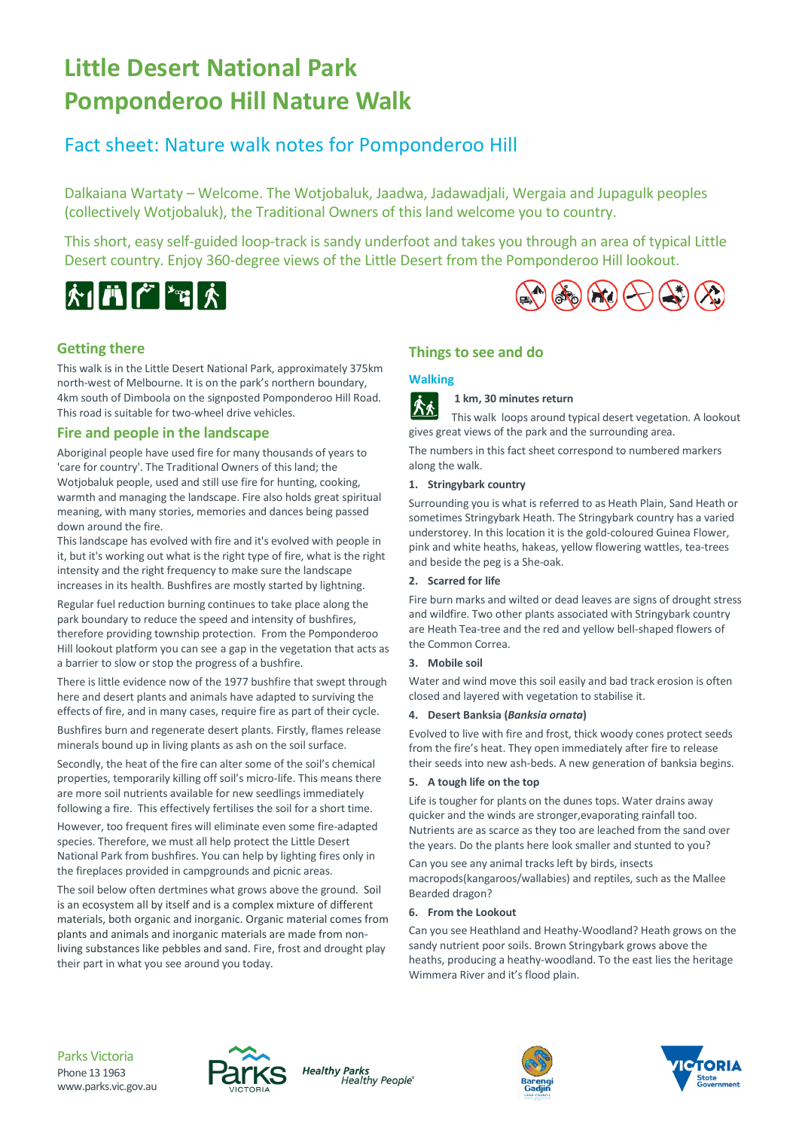# **Little Desert National Park Pomponderoo Hill Nature Walk**

# Fact sheet: Nature walk notes for Pomponderoo Hill

Dalkaiana Wartaty – Welcome. The Wotjobaluk, Jaadwa, Jadawadjali, Wergaia and Jupagulk peoples (collectively Wotjobaluk), the Traditional Owners of this land welcome you to country.

This short, easy self-guided loop-track is sandy underfoot and takes you through an area of typical Little Desert country. Enjoy 360-degree views of the Little Desert from the Pomponderoo Hill lookout.



# $(A_3)$   $(A_2)$   $(A_3)$   $(A_2)$

### **Getting there**

This walk is in the Little Desert National Park, approximately 375km north-west of Melbourne. It is on the park's northern boundary, 4km south of Dimboola on the signposted Pomponderoo Hill Road. This road is suitable for two-wheel drive vehicles.

### **Fire and people in the landscape**

Aboriginal people have used fire for many thousands of years to 'care for country'. The Traditional Owners of this land; the Wotjobaluk people, used and still use fire for hunting, cooking, warmth and managing the landscape. Fire als[o holds great spiritual](https://www.creativespirits.info/aboriginalculture/land/meaning-of-land-to-aboriginal-people)  [meaning,](https://www.creativespirits.info/aboriginalculture/land/meaning-of-land-to-aboriginal-people) with many stories, memories and dances being passed down around the fire.

This landscape has evolved with fire and it's evolved with people in it, but it's working out what is the right type of fire, what is the right intensity and the right frequency to make sure the landscape increases in its health. Bushfires are mostly started by lightning.

Regular fuel reduction burning continues to take place along the park boundary to reduce the speed and intensity of bushfires, therefore providing township protection. From the Pomponderoo Hill lookout platform you can see a gap in the vegetation that acts as a barrier to slow or stop the progress of a bushfire.

There is little evidence now of the 1977 bushfire that swept through here and desert plants and animals have adapted to surviving the effects of fire, and in many cases, require fire as part of their cycle.

Bushfires burn and regenerate desert plants. Firstly, flames release minerals bound up in living plants as ash on the soil surface.

Secondly, the heat of the fire can alter some of the soil's chemical properties, temporarily killing off soil's micro-life. This means there are more soil nutrients available for new seedlings immediately following a fire. This effectively fertilises the soil for a short time.

However, too frequent fires will eliminate even some fire-adapted species. Therefore, we must all help protect the Little Desert National Park from bushfires. You can help by lighting fires only in the fireplaces provided in campgrounds and picnic areas.

The soil below often dertmines what grows above the ground. Soil is an ecosystem all by itself and is a complex mixture of different materials, both organic and inorganic. Organic material comes from plants and animals and inorganic materials are made from nonliving substances like pebbles and sand. Fire, frost and drought play their part in what you see around you today.

# **Things to see and do**

# **Walking**

**1 km, 30 minutes return** |||||木

This walk loops around typical desert vegetation. A lookout gives great views of the park and the surrounding area.

The numbers in this fact sheet correspond to numbered markers along the walk.

#### **1. Stringybark country**

Surrounding you is what is referred to as Heath Plain, Sand Heath or sometimes Stringybark Heath. The Stringybark country has a varied understorey. In this location it is the gold-coloured Guinea Flower, pink and white heaths, hakeas, yellow flowering wattles, tea-trees and beside the peg is a She-oak.

#### **2. Scarred for life**

Fire burn marks and wilted or dead leaves are signs of drought stress and wildfire. Two other plants associated with Stringybark country are Heath Tea-tree and the red and yellow bell-shaped flowers of the Common Correa.

#### **3. Mobile soil**

Water and wind move this soil easily and bad track erosion is often closed and layered with vegetation to stabilise it.

#### **4. Desert Banksia (***Banksia ornata***)**

Evolved to live with fire and frost, thick woody cones protect seeds from the fire's heat. They open immediately after fire to release their seeds into new ash-beds. A new generation of banksia begins.

#### **5. A tough life on the top**

Life is tougher for plants on the dunes tops. Water drains away quicker and the winds are stronger,evaporating rainfall too. Nutrients are as scarce as they too are leached from the sand over the years. Do the plants here look smaller and stunted to you?

Can you see any animal tracks left by birds, insects macropods(kangaroos/wallabies) and reptiles, such as the Mallee Bearded dragon?

#### **6. From the Lookout**

Can you see Heathland and Heathy-Woodland? Heath grows on the sandy nutrient poor soils. Brown Stringybark grows above the heaths, producing a heathy-woodland. To the east lies the heritage Wimmera River and it's flood plain.



**Healthy Parks** Healthy People®